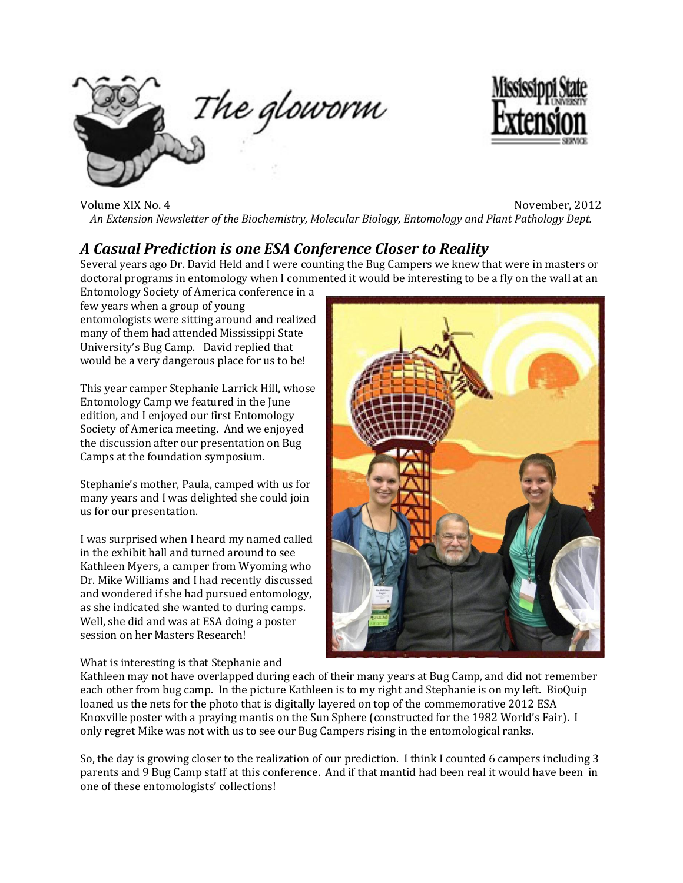



Volume XIX No. 4 November, 2012 *An Extension Newsletter of the Biochemistry, Molecular Biology, Entomology and Plant Pathology Dept.*

### *A Casual Prediction is one ESA Conference Closer to Reality*

Several years ago Dr. David Held and I were counting the Bug Campers we knew that were in masters or doctoral programs in entomology when I commented it would be interesting to be a fly on the wall at an

Entomology Society of America conference in a few years when a group of young entomologists were sitting around and realized many of them had attended Mississippi State University's Bug Camp. David replied that would be a very dangerous place for us to be!

This year camper Stephanie Larrick Hill, whose Entomology Camp we featured in the June edition, and I enjoyed our first Entomology Society of America meeting. And we enjoyed the discussion after our presentation on Bug Camps at the foundation symposium.

Stephanie's mother, Paula, camped with us for many years and I was delighted she could join us for our presentation.

I was surprised when I heard my named called in the exhibit hall and turned around to see Kathleen Myers, a camper from Wyoming who Dr. Mike Williams and I had recently discussed and wondered if she had pursued entomology, as she indicated she wanted to during camps. Well, she did and was at ESA doing a poster session on her Masters Research!



#### What is interesting is that Stephanie and

Kathleen may not have overlapped during each of their many years at Bug Camp, and did not remember each other from bug camp. In the picture Kathleen is to my right and Stephanie is on my left. BioQuip loaned us the nets for the photo that is digitally layered on top of the commemorative 2012 ESA Knoxville poster with a praying mantis on the Sun Sphere (constructed for the 1982 World's Fair). I only regret Mike was not with us to see our Bug Campers rising in the entomological ranks.

So, the day is growing closer to the realization of our prediction. I think I counted 6 campers including 3 parents and 9 Bug Camp staff at this conference. And if that mantid had been real it would have been in one of these entomologists' collections!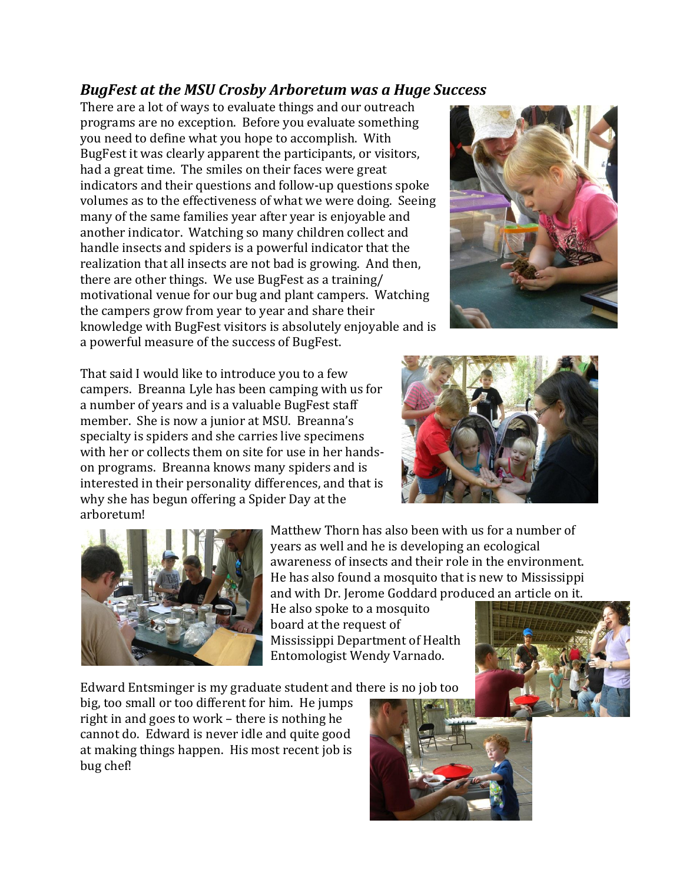# *BugFest at the MSU Crosby Arboretum was a Huge Success*

There are a lot of ways to evaluate things and our outreach programs are no exception. Before you evaluate something you need to define what you hope to accomplish. With BugFest it was clearly apparent the participants, or visitors, had a great time. The smiles on their faces were great indicators and their questions and follow-up questions spoke volumes as to the effectiveness of what we were doing. Seeing many of the same families year after year is enjoyable and another indicator. Watching so many children collect and handle insects and spiders is a powerful indicator that the realization that all insects are not bad is growing. And then, there are other things. We use BugFest as a training/ motivational venue for our bug and plant campers. Watching the campers grow from year to year and share their knowledge with BugFest visitors is absolutely enjoyable and is a powerful measure of the success of BugFest.



That said I would like to introduce you to a few campers. Breanna Lyle has been camping with us for a number of years and is a valuable BugFest staff member. She is now a junior at MSU. Breanna's specialty is spiders and she carries live specimens with her or collects them on site for use in her handson programs. Breanna knows many spiders and is interested in their personality differences, and that is why she has begun offering a Spider Day at the arboretum!





Matthew Thorn has also been with us for a number of years as well and he is developing an ecological awareness of insects and their role in the environment. He has also found a mosquito that is new to Mississippi and with Dr. Jerome Goddard produced an article on it.

He also spoke to a mosquito board at the request of Mississippi Department of Health Entomologist Wendy Varnado.

Edward Entsminger is my graduate student and there is no job too

big, too small or too different for him. He jumps right in and goes to work – there is nothing he cannot do. Edward is never idle and quite good at making things happen. His most recent job is bug chef!



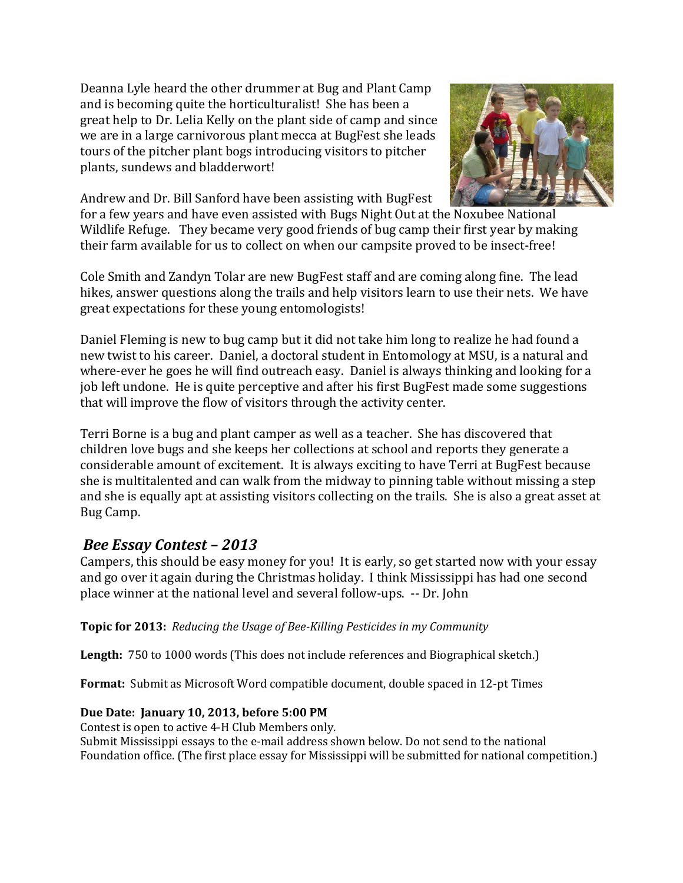Deanna Lyle heard the other drummer at Bug and Plant Camp and is becoming quite the horticulturalist! She has been a great help to Dr. Lelia Kelly on the plant side of camp and since we are in a large carnivorous plant mecca at BugFest she leads tours of the pitcher plant bogs introducing visitors to pitcher plants, sundews and bladderwort!

Andrew and Dr. Bill Sanford have been assisting with BugFest



for a few years and have even assisted with Bugs Night Out at the Noxubee National Wildlife Refuge. They became very good friends of bug camp their first year by making their farm available for us to collect on when our campsite proved to be insect-free!

Cole Smith and Zandyn Tolar are new BugFest staff and are coming along fine. The lead hikes, answer questions along the trails and help visitors learn to use their nets. We have great expectations for these young entomologists!

Daniel Fleming is new to bug camp but it did not take him long to realize he had found a new twist to his career. Daniel, a doctoral student in Entomology at MSU, is a natural and where-ever he goes he will find outreach easy. Daniel is always thinking and looking for a job left undone. He is quite perceptive and after his first BugFest made some suggestions that will improve the flow of visitors through the activity center.

Terri Borne is a bug and plant camper as well as a teacher. She has discovered that children love bugs and she keeps her collections at school and reports they generate a considerable amount of excitement. It is always exciting to have Terri at BugFest because she is multitalented and can walk from the midway to pinning table without missing a step and she is equally apt at assisting visitors collecting on the trails. She is also a great asset at Bug Camp.

## *Bee Essay Contest – 2013*

Campers, this should be easy money for you! It is early, so get started now with your essay and go over it again during the Christmas holiday. I think Mississippi has had one second place winner at the national level and several follow-ups. -- Dr. John

### **Topic for 2013:** *Reducing the Usage of Bee-Killing Pesticides in my Community*

Length: 750 to 1000 words (This does not include references and Biographical sketch.)

**Format:** Submit as Microsoft Word compatible document, double spaced in 12-pt Times

### **Due Date: January 10, 2013, before 5:00 PM**

Contest is open to active 4-H Club Members only. Submit Mississippi essays to the e-mail address shown below. Do not send to the national Foundation office. (The first place essay for Mississippi will be submitted for national competition.)